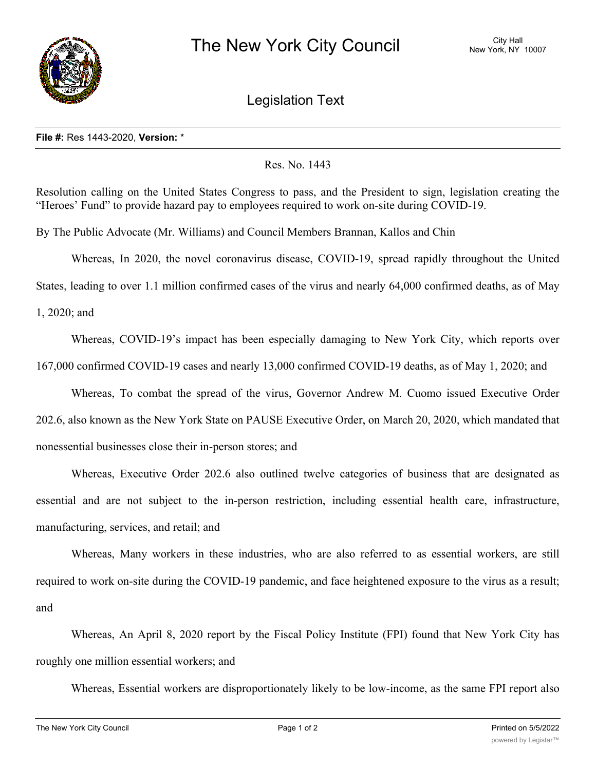

Legislation Text

## **File #:** Res 1443-2020, **Version:** \*

## Res. No. 1443

Resolution calling on the United States Congress to pass, and the President to sign, legislation creating the "Heroes' Fund" to provide hazard pay to employees required to work on-site during COVID-19.

By The Public Advocate (Mr. Williams) and Council Members Brannan, Kallos and Chin

Whereas, In 2020, the novel coronavirus disease, COVID-19, spread rapidly throughout the United

States, leading to over 1.1 million confirmed cases of the virus and nearly 64,000 confirmed deaths, as of May

1, 2020; and

Whereas, COVID-19's impact has been especially damaging to New York City, which reports over 167,000 confirmed COVID-19 cases and nearly 13,000 confirmed COVID-19 deaths, as of May 1, 2020; and

Whereas, To combat the spread of the virus, Governor Andrew M. Cuomo issued Executive Order 202.6, also known as the New York State on PAUSE Executive Order, on March 20, 2020, which mandated that nonessential businesses close their in-person stores; and

Whereas, Executive Order 202.6 also outlined twelve categories of business that are designated as essential and are not subject to the in-person restriction, including essential health care, infrastructure, manufacturing, services, and retail; and

Whereas, Many workers in these industries, who are also referred to as essential workers, are still required to work on-site during the COVID-19 pandemic, and face heightened exposure to the virus as a result; and

Whereas, An April 8, 2020 report by the Fiscal Policy Institute (FPI) found that New York City has roughly one million essential workers; and

Whereas, Essential workers are disproportionately likely to be low-income, as the same FPI report also